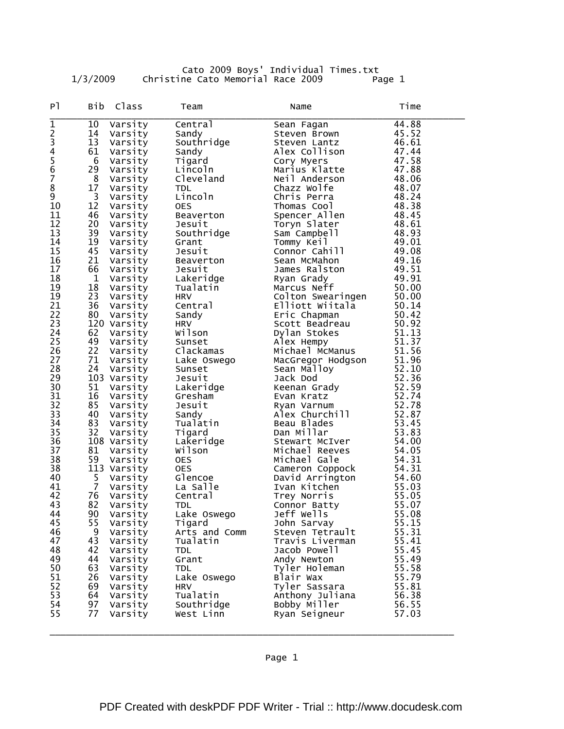## Cato 2009 Boys' Individual Times.txt 1/3/2009 Christine Cato Memorial Race 2009 Page 1

| P1             | Bib          | Class       | Team          | Name              | Time  |
|----------------|--------------|-------------|---------------|-------------------|-------|
| $\mathbf 1$    | 10           | Varsity     | Central       | Sean Fagan        | 44.88 |
| $\frac{2}{3}$  | 14           | Varsity     | Sandy         | Steven Brown      | 45.52 |
|                | 13           | Varsity     | Southridge    | Steven Lantz      | 46.61 |
| $\frac{4}{5}$  | 61           | Varsity     | Sandy         | Alex Collison     | 47.44 |
|                | 6            | Varsity     | Tigard        | Cory Myers        | 47.58 |
| $\overline{6}$ | 29           | Varsity     | Lincoln       | Marius Klatte     | 47.88 |
| 7              | 8            | Varsity     | Cleveland     | Neil Anderson     | 48.06 |
| 8              | 17           | Varsity     | TDL           | Chazz Wolfe       | 48.07 |
| 9              | 3            | Varsity     | Lincoln       | Chris Perra       | 48.24 |
| 10             | 12           | Varsity     | 0ES           | Thomas Cool       | 48.38 |
| 11             | 46           | Varsity     | Beaverton     | Spencer Allen     | 48.45 |
| 12             | 20           | Varsity     | Jesuit        | Toryn Slater      | 48.61 |
| 13             | 39           | Varsity     | Southridge    | Sam Campbell      | 48.93 |
| 14             | 19           | Varsity     | Grant         | Tommy Keil        | 49.01 |
| 15             | 45           | Varsity     | Jesuit        | Connor Cahill     | 49.08 |
| 16             | 21           | Varsity     | Beaverton     | Sean McMahon      | 49.16 |
| 17             | 66           | Varsity     | Jesuit        | James Ralston     | 49.51 |
| 18             | $\mathbf{1}$ | Varsity     | Lakeridge     | Ryan Grady        | 49.91 |
| 19             | 18           | Varsity     | Tualatin      | Marcus Neff       | 50.00 |
| 19             | 23           | Varsity     | <b>HRV</b>    | Colton Swearingen | 50.00 |
| 21             | 36           | Varsity     | Central       | Elliott Wiitala   | 50.14 |
| 22             | 80           | Varsity     | Sandy         | Eric Chapman      | 50.42 |
| 23             |              | 120 Varsity | <b>HRV</b>    | Scott Beadreau    | 50.92 |
| 24             | 62           | Varsity     | Wilson        | Dylan Stokes      | 51.13 |
| 25             | 49           | Varsity     | Sunset        | Alex Hempy        | 51.37 |
| 26             | 22           | Varsity     | Clackamas     | Michael McManus   | 51.56 |
| 27             | 71           | Varsity     | Lake Oswego   | MacGregor Hodgson | 51.96 |
| 28             | 24           | Varsity     | Sunset        | Sean Malloy       | 52.10 |
| 29             |              | 103 Varsity | Jesuit        | Jack Dod          | 52.36 |
| 30             | 51           | Varsity     | Lakeridge     | Keenan Grady      | 52.59 |
| 31             | 16           | Varsity     | Gresham       | Evan Kratz        | 52.74 |
| 32             | 85           | Varsity     | Jesuit        | Ryan Varnum       | 52.78 |
| 33             | 40           | Varsity     | Sandy         | Alex Churchill    | 52.87 |
| 34             | 83           | Varsity     | Tualatin      | Beau Blades       | 53.45 |
| 35             | 32           | Varsity     | Tigard        | Dan Millar        | 53.83 |
| 36             |              | 108 Varsity | Lakeridge     | Stewart McIver    | 54.00 |
| 37             | 81           | Varsity     | wilson        | Michael Reeves    | 54.05 |
| 38             | 59           | Varsity     | <b>OES</b>    | Michael Gale      | 54.31 |
| 38             |              | 113 Varsity | <b>OES</b>    | Cameron Coppock   | 54.31 |
| 40             | 5            | Varsity     | Glencoe       | David Arrington   | 54.60 |
| 41             | 7            | Varsity     | La Salle      | Ivan Kitchen      | 55.03 |
| 42             | 76           | Varsity     | Central       | Trey Norris       | 55.05 |
| 43             | 82           | Varsity     | <b>TDL</b>    | Connor Batty      | 55.07 |
| 44             | 90           | Varsity     | Lake Oswego   | Jett Wells        | 55.08 |
| 45             | 55           | Varsity     | Tigard        | John Sarvay       | 55.15 |
| 46             | 9            | Varsity     | Arts and Comm | Steven Tetrault   | 55.31 |
| 47             | 43           | Varsity     | Tualatin      | Travis Liverman   | 55.41 |
| 48             | 42           | Varsity     | <b>TDL</b>    | Jacob Powell      | 55.45 |
| 49             | 44           | Varsity     | Grant         | Andy Newton       | 55.49 |
| 50             | 63           | Varsity     | <b>TDL</b>    | Tyler Holeman     | 55.58 |
| 51             | 26           | Varsity     | Lake Oswego   | Blair Wax         | 55.79 |
| 52             | 69           | Varsity     | <b>HRV</b>    | Tyler Sassara     | 55.81 |
| 53             | 64           | Varsity     | Tualatin      | Anthony Juliana   | 56.38 |
| 54             | 97           | Varsity     | Southridge    | Bobby Miller      | 56.55 |
| 55             | 77           | Varsity     | West Linn     | Ryan Seigneur     | 57.03 |

## Page 1

\_\_\_\_\_\_\_\_\_\_\_\_\_\_\_\_\_\_\_\_\_\_\_\_\_\_\_\_\_\_\_\_\_\_\_\_\_\_\_\_\_\_\_\_\_\_\_\_\_\_\_\_\_\_\_\_\_\_\_\_\_\_\_\_\_\_\_\_\_\_\_\_\_\_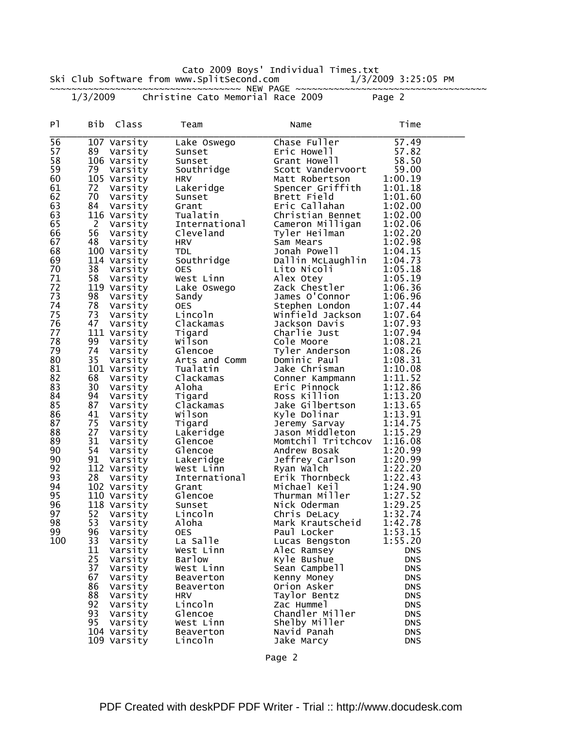Cato 2009 Boys' Individual Times.txt

Ski Club Software from www.SplitSecond.com 1/3/2009 3:25:05 PM ~~~~~~~~~~~~~~~~~~~~~~~~~~~~~~~~~~~~ NEW PAGE ~~~~~~~~~~~~~~~~~~~~~~~~~~~~~~~~~~~

1/3/2009 Christine Cato Memorial Race 2009 Page 2

| P1  | Bib            | Class       | Team                    | Name                         | Time       |
|-----|----------------|-------------|-------------------------|------------------------------|------------|
| 56  |                | 107 Varsity | Lake Oswego             | Chase Fuller                 | 57.49      |
| 57  | 89             | Varsity     | Sunset                  | Eric Howell                  | 57.82      |
| 58  |                | 106 Varsity | Sunset                  | Grant Howell                 | 58.50      |
| 59  |                | 79 Varsity  | Southridge              | Scott Vandervoort            | 59.00      |
| 60  |                | 105 Varsity | <b>HRV</b>              | Matt Robertson               | 1:00.19    |
| 61  | 72             | Varsity     | Lakeridge               | Spencer Griffith             | 1:01.18    |
| 62  | 70             | Varsity     | Sunset                  | Brett Field                  | 1:01.60    |
| 63  | 84             | Varsity     | Grant                   | Eric Callahan                | 1:02.00    |
| 63  |                | 116 Varsity | Tualatin                | Christian Bennet             | 1:02.00    |
| 65  | $\overline{c}$ | Varsity     | International           | Cameron Milligan             | 1:02.06    |
| 66  | 56             | Varsity     | Cleveland               | Tyler Heilman                | 1:02.20    |
| 67  | 48             | Varsity     | <b>HRV</b>              | Sam Mears                    | 1:02.98    |
| 68  |                | 100 Varsity | <b>TDL</b>              | Jonah Powell                 | 1:04.15    |
| 69  |                | 114 Varsity | Southridge              | Dallin McLaughlin            | 1:04.73    |
| 70  | 38             | Varsity     | <b>OES</b>              | Lito Nicoli                  | 1:05.18    |
| 71  | 58             | Varsity     | West Linn               | Alex Otey                    | 1:05.19    |
| 72  |                | 119 Varsity | Lake Oswego             | zack Chestler                | 1:06.36    |
| 73  | 98             | Varsity     | Sandy                   | James O'Connor               | 1:06.96    |
| 74  | 78             | Varsity     | <b>OES</b>              | Stephen London               | 1:07.44    |
| 75  | 73             | Varsity     | Lincoln                 | Winfield Jackson             | 1:07.64    |
| 76  | 47             | Varsity     | Clackamas               | Jackson Davis                | 1:07.93    |
| 77  |                | 111 Varsity | Tigard                  | Charlie Just                 | 1:07.94    |
| 78  | 99             | Varsity     | wilson                  | Cole Moore                   | 1:08.21    |
| 79  | 74             | Varsity     | Glencoe                 | Tyler Anderson               | 1:08.26    |
| 80  | 35             | Varsity     | Arts and Comm           | Dominic Paul                 | 1:08.31    |
| 81  |                | 101 Varsity | Tualatin                | Jake Chrisman                | 1:10.08    |
| 82  | 68             | Varsity     | Clackamas               | Conner Kampmann              | 1:11.52    |
| 83  | 30             | Varsity     | Aloha                   | Eric Pinnock                 | 1:12.86    |
| 84  | 94             | Varsity     | Tigard                  | Ross Killion                 | 1:13.20    |
| 85  | 87             | Varsity     | Clackamas               | Jake Gilbertson              | 1:13.65    |
| 86  | 41             | Varsity     | Wilson                  | Kyle Dolinar                 | 1:13.91    |
| 87  | 75             | Varsity     | Tigard                  | Jeremy Sarvay                | 1:14.75    |
| 88  | 27             | Varsity     | Lakeridge               | Jason Middleton              | 1:15.29    |
| 89  | 31             | Varsity     | Glencoe                 | Momtchil Tritchcov           | 1:16.08    |
| 90  | 54             | Varsity     | Glencoe                 | Andrew Bosak                 | 1:20.99    |
| 90  | 91             | Varsity     | Lakeridge               | Jeffrey Carlson              | 1:20.99    |
| 92  |                | 112 Varsity | West Linn               | Ryan Walch                   | 1:22.20    |
| 93  | 28             | Varsity     | International           | Erik Thornbeck               | 1:22.43    |
| 94  |                | 102 Varsity | Grant                   | Michael Keil                 | 1:24.90    |
| 95  |                | 110 Varsity | Glencoe                 | Thurman Miller               | 1:27.52    |
| 96  |                | 118 Varsity | Sunset                  | Nick Oderman                 | 1:29.25    |
| 97  | 52             | Varsity     | Lincoln                 | Chris DeLacy                 | 1:32.74    |
| 98  | 53             | Varsity     | Aloha                   | Mark Krautscheid             | 1:42.78    |
| 99  | 96             | Varsity     | <b>OES</b>              | Paul Locker                  | 1:53.15    |
| 100 | 33             | Varsity     | La Salle                | Lucas Bengston               | 1:55.20    |
|     | 11             | Varsity     | West Linn               | Alec Ramsey                  | <b>DNS</b> |
|     | 25             | Varsity     | Barlow                  | Kyle Bushue                  | <b>DNS</b> |
|     | 37             |             | West Linn               | Sean Campbell                | <b>DNS</b> |
|     | 67             | Varsity     | Beaverton               |                              | <b>DNS</b> |
|     | 86             | Varsity     |                         | Kenny Money<br>Orion Asker   | <b>DNS</b> |
|     | 88             | Varsity     | Beaverton<br><b>HRV</b> | Taylor Bentz                 | <b>DNS</b> |
|     | 92             | Varsity     |                         | Zac Hummel                   |            |
|     | 93             | Varsity     | Lincoln                 | Chandler Miller              | <b>DNS</b> |
|     |                | Varsity     | Glencoe                 |                              | <b>DNS</b> |
|     | 95             | Varsity     | West Linn<br>Beaverton  | Shelby Miller<br>Navid Panah | <b>DNS</b> |
|     |                | 104 Varsity |                         |                              | <b>DNS</b> |
|     |                | 109 Varsity | Lincoln                 | Jake Marcy                   | <b>DNS</b> |

Page 2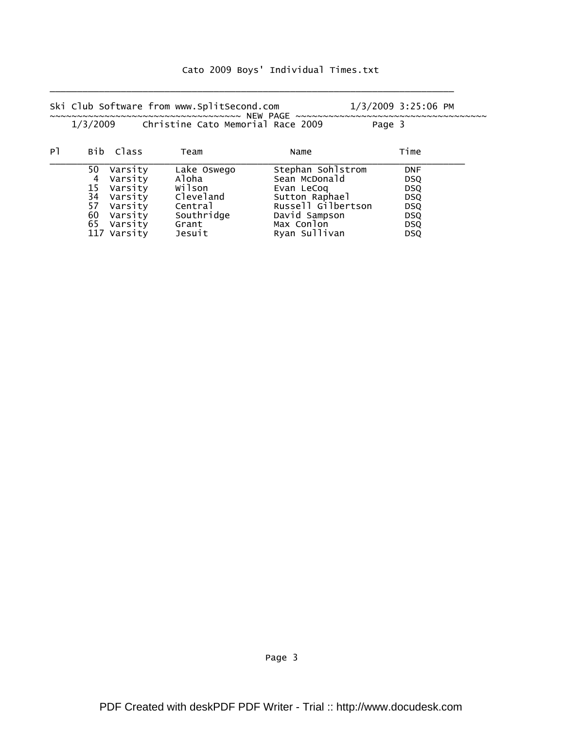## Cato 2009 Boys' Individual Times.txt

|                |    |             | Ski Club Software from www.SplitSecond.com |                    |        | 1/3/2009 3:25:06 PM |  |
|----------------|----|-------------|--------------------------------------------|--------------------|--------|---------------------|--|
|                |    |             | 1/3/2009 Christine Cato Memorial Race 2009 |                    | Page 3 |                     |  |
| P <sub>1</sub> |    | Bib Class   | Team                                       | Name               |        | Time                |  |
|                | 50 | Varsity     | Lake Oswego                                | Stephan Sohlstrom  |        | <b>DNF</b>          |  |
|                | 4  | Varsity     | Aloha                                      | Sean McDonald      |        | <b>DSQ</b>          |  |
|                | 15 | Varsity     | wilson                                     | Evan LeCoq         |        | <b>DSQ</b>          |  |
|                | 34 | Varsity     | Cleveland                                  | Sutton Raphael     |        | <b>DSQ</b>          |  |
|                | 57 | Varsity     | Central                                    | Russell Gilbertson |        | <b>DSQ</b>          |  |
|                | 60 | Varsity     | Southridge                                 | David Sampson      |        | <b>DSQ</b>          |  |
|                | 65 | Varsity     | Grant                                      | Max Conlon         |        | <b>DSQ</b>          |  |
|                |    | 117 Varsity | Jesuit                                     | Ryan Sullivan      |        | <b>DSQ</b>          |  |

\_\_\_\_\_\_\_\_\_\_\_\_\_\_\_\_\_\_\_\_\_\_\_\_\_\_\_\_\_\_\_\_\_\_\_\_\_\_\_\_\_\_\_\_\_\_\_\_\_\_\_\_\_\_\_\_\_\_\_\_\_\_\_\_\_\_\_\_\_\_\_\_\_\_

Page 3